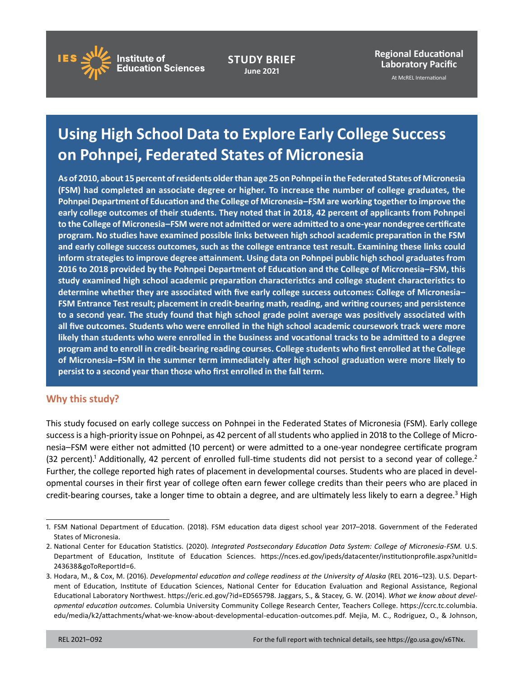

**STUDY BRIEF June 2021**

**Regional Educational Laboratory Pacific**

At McREL International

# **Using High School Data to Explore Early College Success on Pohnpei, Federated States of Micronesia**

**As of 2010, about 15 percent of residents older than age 25 on Pohnpei in the Federated States of Micronesia (FSM) had completed an associate degree or higher. To increase the number of college graduates, the Pohnpei Department of Education and the College of Micronesia–FSM are working together to improve the early college outcomes of their students. They noted that in 2018, 42 percent of applicants from Pohnpei to the College of Micronesia–FSM were not admitted or were admitted to a one-year nondegree certificate program. No studies have examined possible links between high school academic preparation in the FSM and early college success outcomes, such as the college entrance test result. Examining these links could inform strategies to improve degree attainment. Using data on Pohnpei public high school graduates from 2016 to 2018 provided by the Pohnpei Department of Education and the College of Micronesia–FSM, this study examined high school academic preparation characteristics and college student characteristics to determine whether they are associated with five early college success outcomes: College of Micronesia– FSM Entrance Test result; placement in credit-bearing math, reading, and writing courses; and persistence to a second year. The study found that high school grade point average was positively associated with all five outcomes. Students who were enrolled in the high school academic coursework track were more likely than students who were enrolled in the business and vocational tracks to be admitted to a degree program and to enroll in credit-bearing reading courses. College students who first enrolled at the College of Micronesia–FSM in the summer term immediately after high school graduation were more likely to persist to a second year than those who first enrolled in the fall term.**

# **Why this study?**

This study focused on early college success on Pohnpei in the Federated States of Micronesia (FSM). Early college success is a high-priority issue on Pohnpei, as 42 percent of all students who applied in 2018 to the College of Micronesia–FSM were either not admitted (10 percent) or were admitted to a one-year nondegree certificate program (32 percent).<sup>1</sup> Additionally, 42 percent of enrolled full-time students did not persist to a second year of college.<sup>2</sup> Further, the college reported high rates of placement in developmental courses. Students who are placed in developmental courses in their first year of college often earn fewer college credits than their peers who are placed in credit-bearing courses, take a longer time to obtain a degree, and are ultimately less likely to earn a degree.<sup>3</sup> High

<sup>1.</sup> FSM National Department of Education. (2018). FSM education data digest school year 2017–2018. Government of the Federated States of Micronesia.

<sup>2.</sup> National Center for Education Statistics. (2020). *Integrated Postsecondary Education Data System: College of Micronesia-FSM.* U.S. Department of Education, Institute of Education Sciences. [https://nces.ed.gov/ipeds/datacenter/institutionprofile.aspx?unitId=](https://nces.ed.gov/ipeds/datacenter/institutionprofile.aspx?unitId=243638&goToReportId=6) [243638&goToReportId=6](https://nces.ed.gov/ipeds/datacenter/institutionprofile.aspx?unitId=243638&goToReportId=6).

<sup>3.</sup> Hodara, M., & Cox, M. (2016). *Developmental education and college readiness at the University of Alaska* (REL 2016–123). U.S. Department of Education, Institute of Education Sciences, National Center for Education Evaluation and Regional Assistance, Regional Educational Laboratory Northwest. [https://eric.ed.gov/?id=ED565798.](https://eric.ed.gov/?id=ED565798) Jaggars, S., & Stacey, G. W. (2014). *What we know about developmental education outcomes.* Columbia University Community College Research Center, Teachers College. [https://ccrc.tc.columbia.](https://ccrc.tc.columbia.edu/media/k2/attachments/what-we-know-about-developmental-education-outcomes.pdf) [edu/media/k2/attachments/what-we-know-about-developmental-education-outcomes.pdf.](https://ccrc.tc.columbia.edu/media/k2/attachments/what-we-know-about-developmental-education-outcomes.pdf) Mejia, M. C., Rodriguez, O., & Johnson,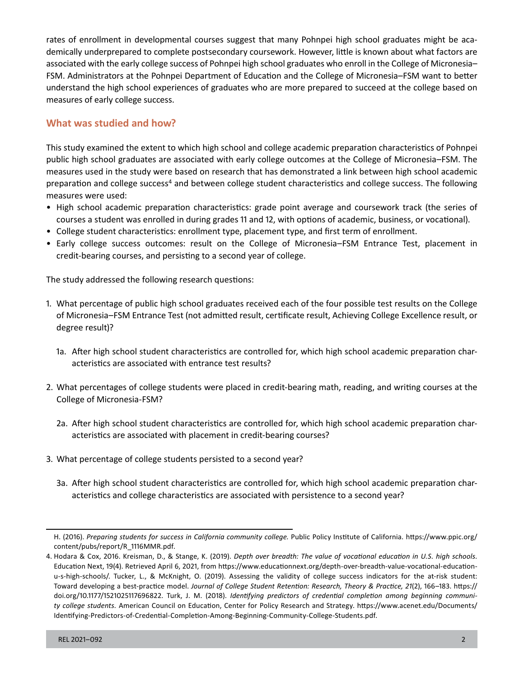rates of enrollment in developmental courses suggest that many Pohnpei high school graduates might be academically underprepared to complete postsecondary coursework. However, little is known about what factors are associated with the early college success of Pohnpei high school graduates who enroll in the College of Micronesia– FSM. Administrators at the Pohnpei Department of Education and the College of Micronesia–FSM want to better understand the high school experiences of graduates who are more prepared to succeed at the college based on measures of early college success.

## **What was studied and how?**

This study examined the extent to which high school and college academic preparation characteristics of Pohnpei public high school graduates are associated with early college outcomes at the College of Micronesia–FSM. The measures used in the study were based on research that has demonstrated a link between high school academic preparation and college success<sup>4</sup> and between college student characteristics and college success. The following measures were used:

- High school academic preparation characteristics: grade point average and coursework track (the series of courses a student was enrolled in during grades 11 and 12, with options of academic, business, or vocational).
- College student characteristics: enrollment type, placement type, and first term of enrollment.
- Early college success outcomes: result on the College of Micronesia–FSM Entrance Test, placement in credit-bearing courses, and persisting to a second year of college.

The study addressed the following research questions:

- 1. What percentage of public high school graduates received each of the four possible test results on the College of Micronesia–FSM Entrance Test (not admitted result, certificate result, Achieving College Excellence result, or degree result)?
	- 1a. After high school student characteristics are controlled for, which high school academic preparation characteristics are associated with entrance test results?
- 2. What percentages of college students were placed in credit-bearing math, reading, and writing courses at the College of Micronesia-FSM?
	- 2a. After high school student characteristics are controlled for, which high school academic preparation characteristics are associated with placement in credit-bearing courses?
- 3. What percentage of college students persisted to a second year?
	- 3a. After high school student characteristics are controlled for, which high school academic preparation characteristics and college characteristics are associated with persistence to a second year?

H. (2016). *Preparing students for success in California community college.* Public Policy Institute of California. [https://www.ppic.org/](https://www.ppic.org/content/pubs/report/R_1116MMR.pdf) [content/pubs/report/R\\_1116MMR.pdf.](https://www.ppic.org/content/pubs/report/R_1116MMR.pdf)

<sup>4.</sup> Hodara & Cox, 2016. Kreisman, D., & Stange, K. (2019). *Depth over breadth: The value of vocational education in U.S. high schools.*  Education Next, 19(4). Retrieved April 6, 2021, from [https://www.educationnext.org/depth-over-breadth-value-vocational-education](https://www.educationnext.org/depth-over-breadth-value-vocational-education-u-s-high-schools/)[u-s-high-schools/.](https://www.educationnext.org/depth-over-breadth-value-vocational-education-u-s-high-schools/) Tucker, L., & McKnight, O. (2019). Assessing the validity of college success indicators for the at-risk student: Toward developing a best-practice model. *Journal of College Student Retention: Research, Theory & Practice, 21*(2), 166–183. [https://](https://doi.org/10.1177/1521025117696822) [doi.org/10.1177/1521025117696822.](https://doi.org/10.1177/1521025117696822) Turk, J. M. (2018). *Identifying predictors of credential completion among beginning community college students.* American Council on Education, Center for Policy Research and Strategy. [https://www.acenet.edu/Documents/](https://www.acenet.edu/Documents/Identifying-Predictors-of-Credential-Completion-Among-Beginning-Community-College-Students.pdf) [Identifying-Predictors-of-Credential-Completion-Among-Beginning-Community-College-Students.pdf.](https://www.acenet.edu/Documents/Identifying-Predictors-of-Credential-Completion-Among-Beginning-Community-College-Students.pdf)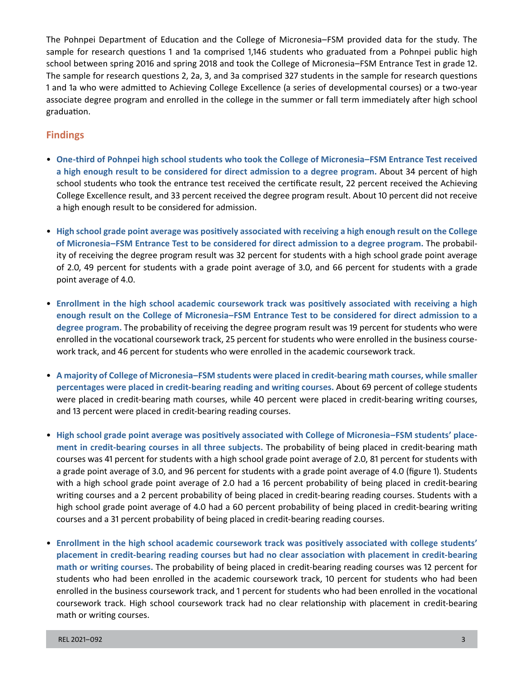The Pohnpei Department of Education and the College of Micronesia–FSM provided data for the study. The sample for research questions 1 and 1a comprised 1,146 students who graduated from a Pohnpei public high school between spring 2016 and spring 2018 and took the College of Micronesia–FSM Entrance Test in grade 12. The sample for research questions 2, 2a, 3, and 3a comprised 327 students in the sample for research questions 1 and 1a who were admitted to Achieving College Excellence (a series of developmental courses) or a two-year associate degree program and enrolled in the college in the summer or fall term immediately after high school graduation.

## **Findings**

- **One-third of Pohnpei high school students who took the College of Micronesia–FSM Entrance Test received a high enough result to be considered for direct admission to a degree program.** About 34 percent of high school students who took the entrance test received the certificate result, 22 percent received the Achieving College Excellence result, and 33 percent received the degree program result. About 10 percent did not receive a high enough result to be considered for admission.
- **High school grade point average was positively associated with receiving a high enough result on the College of Micronesia–FSM Entrance Test to be considered for direct admission to a degree program.** The probability of receiving the degree program result was 32 percent for students with a high school grade point average of 2.0, 49 percent for students with a grade point average of 3.0, and 66 percent for students with a grade point average of 4.0.
- **Enrollment in the high school academic coursework track was positively associated with receiving a high enough result on the College of Micronesia–FSM Entrance Test to be considered for direct admission to a degree program.** The probability of receiving the degree program result was 19 percent for students who were enrolled in the vocational coursework track, 25 percent for students who were enrolled in the business coursework track, and 46 percent for students who were enrolled in the academic coursework track.
- **A majority of College of Micronesia–FSM students were placed in credit-bearing math courses, while smaller percentages were placed in credit-bearing reading and writing courses.** About 69 percent of college students were placed in credit-bearing math courses, while 40 percent were placed in credit-bearing writing courses, and 13 percent were placed in credit-bearing reading courses.
- **High school grade point average was positively associated with College of Micronesia–FSM students' placement in credit-bearing courses in all three subjects.** The probability of being placed in credit-bearing math courses was 41 percent for students with a high school grade point average of 2.0, 81 percent for students with a grade point average of 3.0, and 96 percent for students with a grade point average of 4.0 (figure 1). Students with a high school grade point average of 2.0 had a 16 percent probability of being placed in credit-bearing writing courses and a 2 percent probability of being placed in credit-bearing reading courses. Students with a high school grade point average of 4.0 had a 60 percent probability of being placed in credit-bearing writing courses and a 31 percent probability of being placed in credit-bearing reading courses.
- **Enrollment in the high school academic coursework track was positively associated with college students' placement in credit-bearing reading courses but had no clear association with placement in credit-bearing math or writing courses.** The probability of being placed in credit-bearing reading courses was 12 percent for students who had been enrolled in the academic coursework track, 10 percent for students who had been enrolled in the business coursework track, and 1 percent for students who had been enrolled in the vocational coursework track. High school coursework track had no clear relationship with placement in credit-bearing math or writing courses.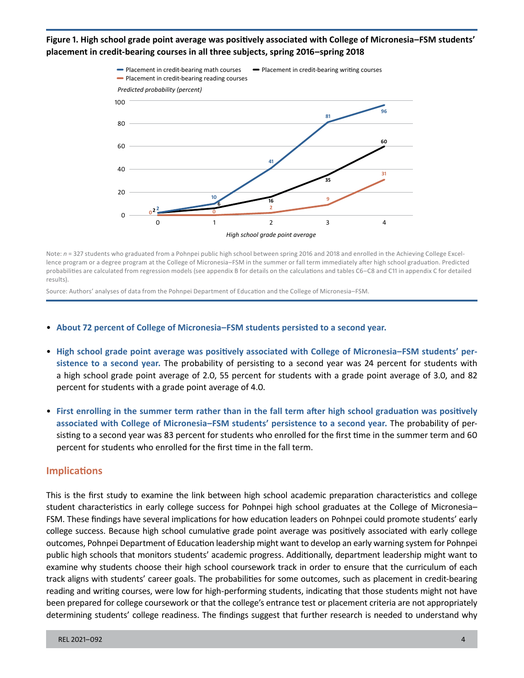### **Figure 1. High school grade point average was positively associated with College of Micronesia–FSM students' placement in credit-bearing courses in all three subjects, spring 2016–spring 2018**



Note: *n* = 327 students who graduated from a Pohnpei public high school between spring 2016 and 2018 and enrolled in the Achieving College Excellence program or a degree program at the College of Micronesia–FSM in the summer or fall term immediately after high school graduation. Predicted probabilities are calculated from regression models (see appendix B for details on the calculations and tables C6–C8 and C11 in appendix C for detailed results).

Source: Authors' analyses of data from the Pohnpei Department of Education and the College of Micronesia–FSM.

- **About 72 percent of College of Micronesia–FSM students persisted to a second year.**
- **High school grade point average was positively associated with College of Micronesia–FSM students' persistence to a second year.** The probability of persisting to a second year was 24 percent for students with a high school grade point average of 2.0, 55 percent for students with a grade point average of 3.0, and 82 percent for students with a grade point average of 4.0.
- **First enrolling in the summer term rather than in the fall term after high school graduation was positively associated with College of Micronesia–FSM students' persistence to a second year.** The probability of persisting to a second year was 83 percent for students who enrolled for the first time in the summer term and 60 percent for students who enrolled for the first time in the fall term.

#### **Implications**

This is the first study to examine the link between high school academic preparation characteristics and college student characteristics in early college success for Pohnpei high school graduates at the College of Micronesia– FSM. These findings have several implications for how education leaders on Pohnpei could promote students' early college success. Because high school cumulative grade point average was positively associated with early college outcomes, Pohnpei Department of Education leadership might want to develop an early warning system for Pohnpei public high schools that monitors students' academic progress. Additionally, department leadership might want to examine why students choose their high school coursework track in order to ensure that the curriculum of each track aligns with students' career goals. The probabilities for some outcomes, such as placement in credit-bearing reading and writing courses, were low for high-performing students, indicating that those students might not have been prepared for college coursework or that the college's entrance test or placement criteria are not appropriately determining students' college readiness. The findings suggest that further research is needed to understand why